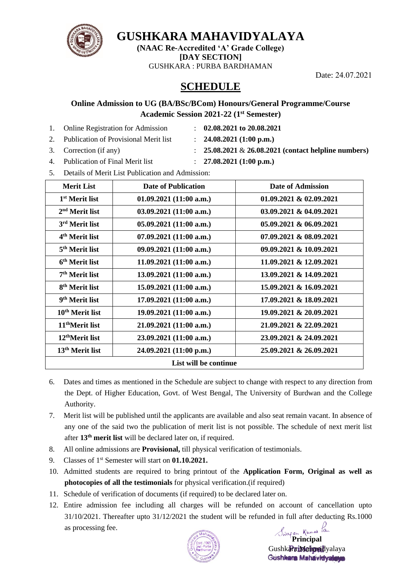

**GUSHKARA MAHAVIDYALAYA** 

**(NAAC Re-Accredited 'A' Grade College) [DAY SECTION]** GUSHKARA : PURBA BARDHAMAN

Date: 24.07.2021

## **SCHEDULE**

#### **Online Admission to UG (BA/BSc/BCom) Honours/General Programme/Course Academic Session 2021-22 (1st Semester)**

- 1. Online Registration for Admission : **02.08.2021 to 20.08.2021**
	-
- 2. Publication of Provisional Merit list : **24.08.2021 (1:00 p.m.)**
- 3. Correction (if any) : **25.08.2021** & **26.08.2021 (contact helpline numbers)**
- 
- 4. Publication of Final Merit list : **27.08.2021 (1:00 p.m.)**
- 5. Details of Merit List Publication and Admission:

| <b>Merit List</b>           | <b>Date of Publication</b> | Date of Admission          |  |
|-----------------------------|----------------------------|----------------------------|--|
| 1 <sup>st</sup> Merit list  | 01.09.2021(11:00 a.m.)     | $01.09.2021 \& 02.09.2021$ |  |
| $2nd$ Merit list            | 03.09.2021(11:00 a.m.)     | 03.09.2021 & 04.09.2021    |  |
| 3 <sup>rd</sup> Merit list  | 05.09.2021(11:00 a.m.)     | 05.09.2021 & 06.09.2021    |  |
| 4 <sup>th</sup> Merit list  | 07.09.2021(11:00 a.m.)     | 07.09.2021 & 08.09.2021    |  |
| 5 <sup>th</sup> Merit list  | 09.09.2021(11:00 a.m.)     | 09.09.2021 & 10.09.2021    |  |
| 6 <sup>th</sup> Merit list  | 11.09.2021(11:00 a.m.)     | 11.09.2021 & 12.09.2021    |  |
| 7 <sup>th</sup> Merit list  | 13.09.2021(11:00 a.m.)     | 13.09.2021 & 14.09.2021    |  |
| 8 <sup>th</sup> Merit list  | 15.09.2021(11:00 a.m.)     | 15.09.2021 & 16.09.2021    |  |
| 9 <sup>th</sup> Merit list  | 17.09.2021(11:00 a.m.)     | 17.09.2021 & 18.09.2021    |  |
| 10 <sup>th</sup> Merit list | 19.09.2021(11:00 a.m.)     | 19.09.2021 & 20.09.2021    |  |
| 11 <sup>th</sup> Merit list | 21.09.2021(11:00 a.m.)     | 21.09.2021 & 22.09.2021    |  |
| 12 <sup>th</sup> Merit list | 23.09.2021 (11:00 a.m.)    | 23.09.2021 & 24.09.2021    |  |
| 13 <sup>th</sup> Merit list | 24.09.2021 (11:00 p.m.)    | 25.09.2021 & 26.09.2021    |  |
| List will be continue       |                            |                            |  |

- 6. Dates and times as mentioned in the Schedule are subject to change with respect to any direction from the Dept. of Higher Education, Govt. of West Bengal, The University of Burdwan and the College Authority.
- 7. Merit list will be published until the applicants are available and also seat remain vacant. In absence of any one of the said two the publication of merit list is not possible. The schedule of next merit list after 13<sup>th</sup> merit list will be declared later on, if required.
- 8. All online admissions are **Provisional,** till physical verification of testimonials.
- 9. Classes of 1st Semester will start on **01.10.2021.**
- 10. Admitted students are required to bring printout of the **Application Form, Original as well as photocopies of all the testimonials** for physical verification.(if required)
- 11. Schedule of verification of documents (if required) to be declared later on.
- 12. Entire admission fee including all charges will be refunded on account of cancellation upto 31/10/2021. Thereafter upto 31/12/2021 the student will be refunded in full after deducting Rs.1000 as processing fee.



**Principal** GushkaraiMahavidvalaya Gushkara Mahavidyak